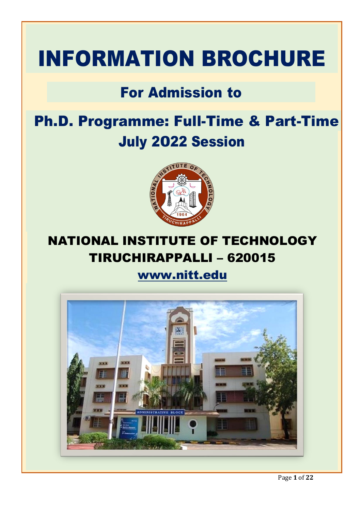# INFORMATION BROCHURE

## For Admission to

## Ph.D. Programme: Full-Time & Part-Time July 2022 Session



#### **S.No. Particulars Page No. 1 IMPORTALLI – 620015** NATIONAL INSTITUTE OF TECHNOLOGY

#### **2 Important Dates 5 3 Ph. D. Admission Categories & Details 5** [www.nitt.edu](http://www.nitt.edu/)

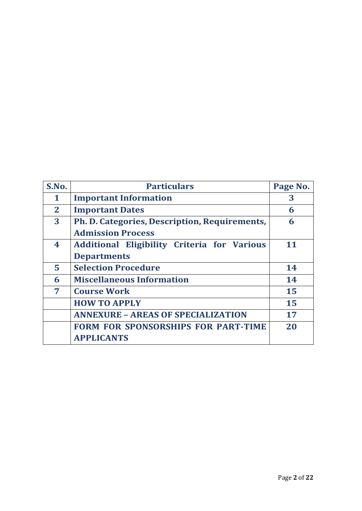| S.No.        | <b>Particulars</b>                                 | Page No. |
|--------------|----------------------------------------------------|----------|
| 1            | <b>Important Information</b>                       | 3        |
| $\mathbf{2}$ | <b>Important Dates</b>                             | 6        |
| 3            | Ph. D. Categories, Description, Requirements,      | 6        |
|              | <b>Admission Process</b>                           |          |
| 4            | <b>Additional Eligibility Criteria for Various</b> | 11       |
|              | <b>Departments</b>                                 |          |
| 5            | <b>Selection Procedure</b>                         | 14       |
| 6            | <b>Miscellaneous Information</b>                   | 14       |
| 7            | <b>Course Work</b>                                 | 15       |
|              | <b>HOW TO APPLY</b>                                | 15       |
|              | <b>ANNEXURE - AREAS OF SPECIALIZATION</b>          | 17       |
|              | <b>FORM FOR SPONSORSHIPS FOR PART-TIME</b>         | 20       |
|              | <b>APPLICANTS</b>                                  |          |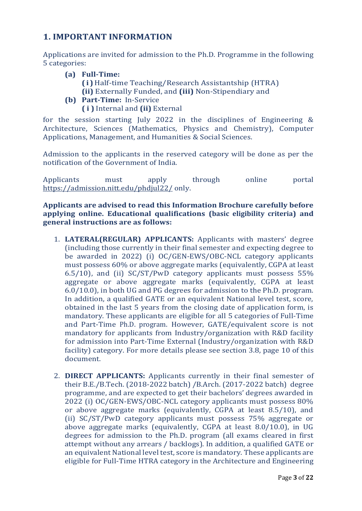#### **1. IMPORTANT INFORMATION**

Applications are invited for admission to the Ph.D. Programme in the following 5 categories:

- **(a) Full-Time:**
	- **( i )**Half-time Teaching/Research Assistantship (HTRA) **(ii)** Externally Funded, and **(iii)** Non-Stipendiary and
- **(b) Part-Time:** In-Service
	- **( i )** Internal and **(ii)** External

for the session starting July 2022 in the disciplines of Engineering & Architecture, Sciences (Mathematics, Physics and Chemistry), Computer Applications, Management, and Humanities & Social Sciences.

Admission to the applicants in the reserved category will be done as per the notification of the Government of India.

Applicants must apply through online portal <https://admission.nitt.edu/phdjul22/> only.

**Applicants are advised to read this Information Brochure carefully before applying online. Educational qualifications (basic eligibility criteria) and general instructions are as follows:**

- 1. **LATERAL(REGULAR) APPLICANTS:** Applicants with masters' degree (including those currently in their final semester and expecting degree to be awarded in 2022) (i) OC/GEN-EWS/OBC-NCL category applicants must possess 60% or above aggregate marks (equivalently, CGPA at least 6.5/10), and (ii) SC/ST/PwD category applicants must possess 55% aggregate or above aggregate marks (equivalently, CGPA at least 6.0/10.0), in both UG and PG degrees for admission to the Ph.D. program. In addition, a qualified GATE or an equivalent National level test, score, obtained in the last 5 years from the closing date of application form, is mandatory. These applicants are eligible for all 5 categories of Full-Time and Part-Time Ph.D. program. However, GATE/equivalent score is not mandatory for applicants from Industry/organization with R&D facility for admission into Part-Time External (Industry/organization with R&D facility) category. For more details please see section 3.8, page 10 of this document.
- 2. **DIRECT APPLICANTS:** Applicants currently in their final semester of their B.E./B.Tech. (2018-2022 batch) /B.Arch. (2017-2022 batch) degree programme, and are expected to get their bachelors' degrees awarded in 2022 (i) OC/GEN-EWS/OBC-NCL category applicants must possess 80% or above aggregate marks (equivalently, CGPA at least 8.5/10), and (ii) SC/ST/PwD category applicants must possess 75% aggregate or above aggregate marks (equivalently, CGPA at least 8.0/10.0), in UG degrees for admission to the Ph.D. program (all exams cleared in first attempt without any arrears / backlogs). In addition, a qualified GATE or an equivalent National level test, score is mandatory. These applicants are eligible for Full-Time HTRA category in the Architecture and Engineering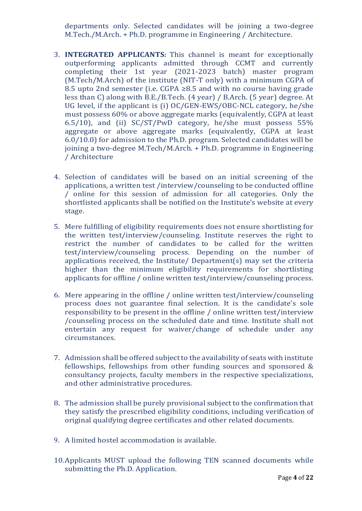departments only. Selected candidates will be joining a two-degree M.Tech./M.Arch. + Ph.D. programme in Engineering / Architecture.

- 3. **INTEGRATED APPLICANTS:** This channel is meant for exceptionally outperforming applicants admitted through CCMT and currently completing their 1st year (2021-2023 batch) master program (M.Tech/M.Arch) of the institute (NIT-T only) with a minimum CGPA of 8.5 upto 2nd semester (i.e. CGPA ≥8.5 and with no course having grade less than C) along with B.E./B.Tech. (4 year) / B.Arch. (5 year) degree. At UG level, if the applicant is (i) OC/GEN-EWS/OBC-NCL category, he/she must possess 60% or above aggregate marks (equivalently, CGPA at least 6.5/10), and (ii) SC/ST/PwD category, he/she must possess 55% aggregate or above aggregate marks (equivalently, CGPA at least 6.0/10.0) for admission to the Ph.D. program. Selected candidates will be joining a two-degree M.Tech/M.Arch. + Ph.D. programme in Engineering / Architecture
- 4. Selection of candidates will be based on an initial screening of the applications, a written test /interview/counseling to be conducted offline / online for this session of admission for all categories. Only the shortlisted applicants shall be notified on the Institute's website at every stage.
- 5. Mere fulfilling of eligibility requirements does not ensure shortlisting for the written test/interview/counseling. Institute reserves the right to restrict the number of candidates to be called for the written test/interview/counseling process. Depending on the number of applications received, the Institute/ Department(s) may set the criteria higher than the minimum eligibility requirements for shortlisting applicants for offline / online written test/interview/counseling process.
- 6. Mere appearing in the offline / online written test/interview/counseling process does not guarantee final selection. It is the candidate's sole responsibility to be present in the offline / online written test/interview /counseling process on the scheduled date and time. Institute shall not entertain any request for waiver/change of schedule under any circumstances.
- 7. Admission shall be offered subject to the availability of seats with institute fellowships, fellowships from other funding sources and sponsored & consultancy projects, faculty members in the respective specializations, and other administrative procedures.
- 8. The admission shall be purely provisional subject to the confirmation that they satisfy the prescribed eligibility conditions, including verification of original qualifying degree certificates and other related documents.
- 9. A limited hostel accommodation is available.
- 10.Applicants MUST upload the following TEN scanned documents while submitting the Ph.D. Application.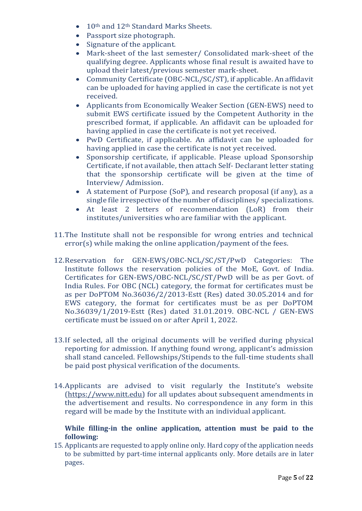- 10<sup>th</sup> and 12<sup>th</sup> Standard Marks Sheets.
- Passport size photograph.
- Signature of the applicant.
- Mark-sheet of the last semester/ Consolidated mark-sheet of the qualifying degree. Applicants whose final result is awaited have to upload their latest/previous semester mark-sheet.
- Community Certificate (OBC-NCL/SC/ST), if applicable. An affidavit can be uploaded for having applied in case the certificate is not yet received.
- Applicants from Economically Weaker Section (GEN-EWS) need to submit EWS certificate issued by the Competent Authority in the prescribed format, if applicable. An affidavit can be uploaded for having applied in case the certificate is not yet received.
- PwD Certificate, if applicable. An affidavit can be uploaded for having applied in case the certificate is not yet received.
- Sponsorship certificate, if applicable. Please upload Sponsorship Certificate, if not available, then attach Self- Declarant letter stating that the sponsorship certificate will be given at the time of Interview/ Admission.
- A statement of Purpose (SoP), and research proposal (if any), as a single file irrespective of the number of disciplines/ specializations.
- At least 2 letters of recommendation (LoR) from their institutes/universities who are familiar with the applicant.
- 11.The Institute shall not be responsible for wrong entries and technical error(s) while making the online application/payment of the fees.
- 12.Reservation for GEN-EWS/OBC-NCL/SC/ST/PwD Categories: The Institute follows the reservation policies of the MoE, Govt. of India. Certificates for GEN-EWS/OBC-NCL/SC/ST/PwD will be as per Govt. of India Rules. For OBC (NCL) category, the format for certificates must be as per DoPTOM No.36036/2/2013‐Estt (Res) dated 30.05.2014 and for EWS category, the format for certificates must be as per DoPTOM No.36039/1/2019-Estt (Res) dated 31.01.2019. OBC-NCL / GEN-EWS certificate must be issued on or after April 1, 2022.
- 13.If selected, all the original documents will be verified during physical reporting for admission. If anything found wrong, applicant's admission shall stand canceled. Fellowships/Stipends to the full-time students shall be paid post physical verification of the documents.
- 14.Applicants are advised to visit regularly the Institute's website [\(https://www.nitt.edu\)](https://www.nitt.edu/) for all updates about subsequent amendments in the advertisement and results. No correspondence in any form in this regard will be made by the Institute with an individual applicant.

#### **While filling-in the online application, attention must be paid to the following:**

15. Applicants are requested to apply online only. Hard copy of the application needs to be submitted by part-time internal applicants only. More details are in later pages.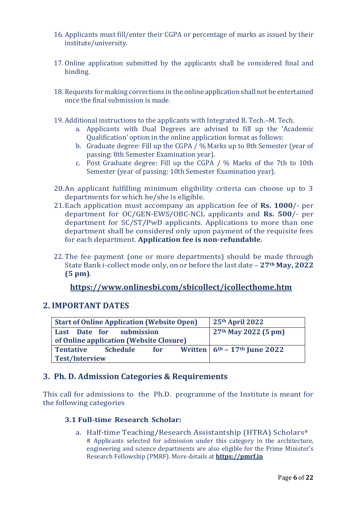- 16. Applicants must fill/enter their CGPA or percentage of marks as issued by their institute/university.
- 17. Online application submitted by the applicants shall be considered final and binding.
- 18. Requests for making corrections in the online application shall not be entertained once the final submission is made.
- 19. Additional instructions to the applicants with Integrated B. Tech.–M. Tech.
	- a. Applicants with Dual Degrees are advised to fill up the 'Academic Qualification' option in the online application format as follows:
	- b. Graduate degree: Fill up the CGPA / % Marks up to 8th Semester (year of passing: 8th Semester Examination year).
	- c. Post Graduate degree: Fill up the CGPA / % Marks of the 7th to 10th Semester (year of passing: 10th Semester Examination year).
- 20.An applicant fulfilling minimum eligibility criteria can choose up to 3 departments for which he/she is eligible.
- 21.Each application must accompany an application fee of **Rs. 1000**/- per department for OC/GEN-EWS/OBC-NCL applicants and **Rs. 500**/- per department for SC/ST/PwD applicants. Applications to more than one department shall be considered only upon payment of the requisite fees for each department. **Application fee is non-refundable**.
- 22. The fee payment (one or more departments) should be made through State Bank i-collect mode only, on or before the last date – **27th May, 2022 (5 pm)**.

#### **<https://www.onlinesbi.com/sbicollect/icollecthome.htm>**

#### **2. IMPORTANT DATES**

| <b>Start of Online Application (Website Open)</b>                   |  |  |  | 25th April 2022                               |
|---------------------------------------------------------------------|--|--|--|-----------------------------------------------|
| Last Date for submission<br>of Online application (Website Closure) |  |  |  | $27th$ May 2022 (5 pm)                        |
| <b>Tentative</b><br><b>Schedule</b><br>for<br><b>Test/Interview</b> |  |  |  | Written $6^{th}$ – 17 <sup>th</sup> June 2022 |

#### **3. Ph. D. Admission Categories & Requirements**

This call for admissions to the Ph.D. programme of the Institute is meant for the following categories

#### **3.1 Full-time Research Scholar:**

a. Half-time Teaching/Research Assistantship (HTRA) Scholars# # Applicants selected for admission under this category in the architecture, engineering and science departments are also eligible for the Prime Minister's Research Fellowship (PMRF). More details at **[https://pmrf.in](https://pmrf.in/)**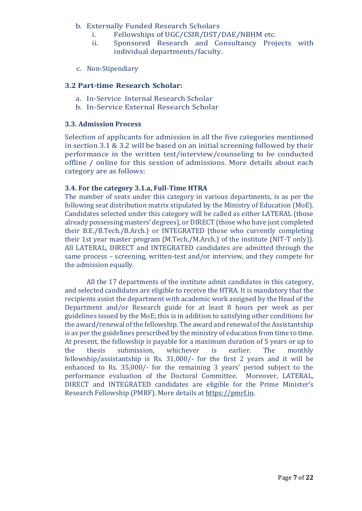- b. Externally Funded Research Scholars
	- i. Fellowships of UGC/CSIR/DST/DAE/NBHM etc.
	- ii. Sponsored Research and Consultancy Projects with individual departments/faculty.
- c. Non-Stipendiary

#### **3.2 Part-time Research Scholar:**

- a. In-Service Internal Research Scholar
- b. In-Service External Research Scholar

#### **3.3. Admission Process**

Selection of applicants for admission in all the five categories mentioned in section 3.1 & 3.2 will be based on an initial screening followed by their performance in the written test/interview/counseling to be conducted offline / online for this session of admissions. More details about each category are as follows:

#### **3.4. For the category 3.1.a, Full-Time HTRA**

The number of seats under this category in various departments, is as per the following seat distribution matrix stipulated by the Ministry of Education (MoE). Candidates selected under this category will be called as either LATERAL (those already possessing masters' degrees), or DIRECT (those who have just completed their B.E./B.Tech./B.Arch.) or INTEGRATED (those who currently completing their 1st year master program (M.Tech./M.Arch.) of the institute (NIT-T only)). All LATERAL, DIRECT and INTEGRATED candidates are admitted through the same process – screening, written-test and/or interview, and they compete for the admission equally.

All the 17 departments of the institute admit candidates in this category, and selected candidates are eligible to receive the HTRA. It is mandatory that the recipients assist the department with academic work assigned by the Head of the Department and/or Research guide for at least 8 hours per week as per guidelines issued by the MoE; this is in addition to satisfying other conditions for the award/renewal of the fellowship. The award and renewal of the Assistantship is as per the guidelines prescribed by the ministry of education from time to time. At present, the fellowship is payable for a maximum duration of 5 years or up to the thesis submission, whichever is earlier. The monthly fellowship/assistantship is Rs. 31,000/- for the first 2 years and it will be enhanced to Rs. 35,000/- for the remaining 3 years' period subject to the performance evaluation of the Doctoral Committee. Moreover, LATERAL, DIRECT and INTEGRATED candidates are eligible for the Prime Minister's Research Fellowship (PMRF). More details at [https://pmrf.in.](https://pmrf.in/)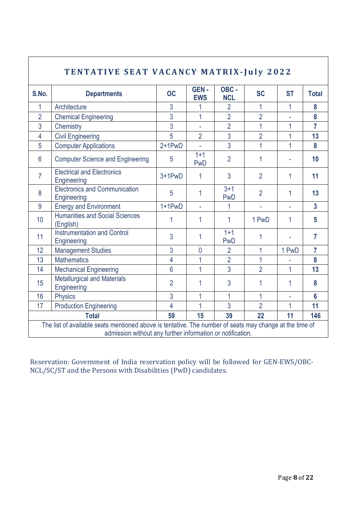| <b>TENTATIVE SEAT VACANCY MATRIX-July 2022</b>                                                                                                                        |                                                     |                |                           |                    |                |                |                |
|-----------------------------------------------------------------------------------------------------------------------------------------------------------------------|-----------------------------------------------------|----------------|---------------------------|--------------------|----------------|----------------|----------------|
| S.No.                                                                                                                                                                 | <b>Departments</b>                                  | <b>OC</b>      | <b>GEN-</b><br><b>EWS</b> | OBC-<br><b>NCL</b> | <b>SC</b>      | <b>ST</b>      | <b>Total</b>   |
| $\mathbf{1}$                                                                                                                                                          | Architecture                                        | 3              | 1                         | $\overline{2}$     | 1              | 1              | 8              |
| $\overline{2}$                                                                                                                                                        | <b>Chemical Engineering</b>                         | 3              | $\overline{1}$            | $\overline{2}$     | $\overline{2}$ |                | 8              |
| 3                                                                                                                                                                     | Chemistry                                           | 3              | $\overline{\phantom{a}}$  | $\overline{2}$     | 1              | 1              | $\overline{7}$ |
| $\overline{4}$                                                                                                                                                        | <b>Civil Engineering</b>                            | 5              | $\overline{2}$            | $\overline{3}$     | $\overline{2}$ | $\overline{1}$ | 13             |
| 5                                                                                                                                                                     | <b>Computer Applications</b>                        | $2+1$ PwD      | ä.                        | $\overline{3}$     | 1              | 1              | 8              |
| $6\phantom{1}6$                                                                                                                                                       | <b>Computer Science and Engineering</b>             | 5              | $1 + 1$<br><b>PwD</b>     | $\overline{2}$     | 1              |                | 10             |
| $\overline{7}$                                                                                                                                                        | <b>Electrical and Electronics</b><br>Engineering    | $3+1$ PwD      | 1                         | 3                  | $\overline{2}$ | 1              | 11             |
| 8                                                                                                                                                                     | <b>Electronics and Communication</b><br>Engineering | 5              | $\mathbf{1}$              | $3 + 1$<br>PwD     | $\overline{2}$ | 1              | 13             |
| 9                                                                                                                                                                     | <b>Energy and Environment</b>                       | $1+1$ PwD      | ÷,                        |                    | ÷.             | Ĺ,             | $\overline{3}$ |
| 10                                                                                                                                                                    | <b>Humanities and Social Sciences</b><br>(English)  | 1              | 1                         | 1                  | 1 PwD          | 1              | 5              |
| 11                                                                                                                                                                    | <b>Instrumentation and Control</b><br>Engineering   | 3              | 1                         | $1 + 1$<br>PwD     | 1              |                | $\overline{7}$ |
| 12                                                                                                                                                                    | <b>Management Studies</b>                           | 3              | $\overline{0}$            | $\overline{2}$     | 1              | 1 PwD          | $\overline{7}$ |
| 13                                                                                                                                                                    | <b>Mathematics</b>                                  | 4              | 1                         | $\overline{2}$     | 1              |                | 8              |
| 14                                                                                                                                                                    | <b>Mechanical Engineering</b>                       | $6\phantom{a}$ | $\overline{1}$            | $\overline{3}$     | $\overline{2}$ | 1              | 13             |
| 15                                                                                                                                                                    | <b>Metallurgical and Materials</b><br>Engineering   | $\overline{2}$ | 1                         | 3                  | 1              | 1              | 8              |
| 16                                                                                                                                                                    | <b>Physics</b>                                      | 3              | 1                         | 1                  | 1              | L,             | $6\phantom{a}$ |
| 17                                                                                                                                                                    | <b>Production Engineering</b>                       |                | $\overline{1}$            | 3                  | $\overline{2}$ | 1              | 11             |
| 59<br><b>Total</b>                                                                                                                                                    |                                                     |                | 15                        | 39                 | 22             | 11             | 146            |
| The list of available seats mentioned above is tentative. The number of seats may change at the time of<br>admission without any further information or notification. |                                                     |                |                           |                    |                |                |                |

 $\overline{\Gamma}$ 

Reservation: Government of India reservation policy will be followed for GEN-EWS/OBC-NCL/SC/ST and the Persons with Disabilities (PwD) candidates.

 $\overline{\phantom{a}}$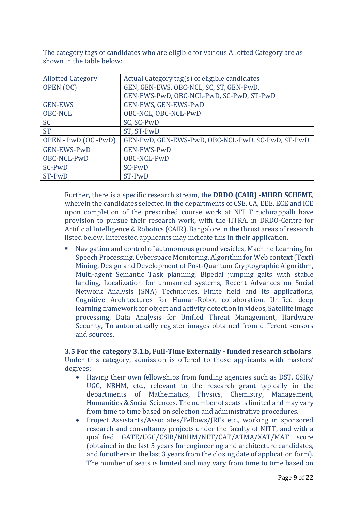| <b>Allotted Category</b> | Actual Category tag(s) of eligible candidates     |  |  |
|--------------------------|---------------------------------------------------|--|--|
| OPEN (OC)                | GEN, GEN-EWS, OBC-NCL, SC, ST, GEN-PwD,           |  |  |
|                          | GEN-EWS-PwD, OBC-NCL-PwD, SC-PwD, ST-PwD          |  |  |
| <b>GEN-EWS</b>           | GEN-EWS, GEN-EWS-PwD                              |  |  |
| <b>OBC-NCL</b>           | OBC-NCL, OBC-NCL-PwD                              |  |  |
| <b>SC</b>                | SC, SC-PwD                                        |  |  |
| <b>ST</b>                | ST, ST-PwD                                        |  |  |
| OPEN - PwD (OC -PwD)     | GEN-PwD, GEN-EWS-PwD, OBC-NCL-PwD, SC-PwD, ST-PwD |  |  |
| <b>GEN-EWS-PwD</b>       | <b>GEN-EWS-PwD</b>                                |  |  |
| OBC-NCL-PwD              | OBC-NCL-PwD                                       |  |  |
| SC-PwD                   | SC-PwD                                            |  |  |
| ST-PwD                   | ST-PwD                                            |  |  |

The category tags of candidates who are eligible for various Allotted Category are as shown in the table below:

Further, there is a specific research stream, the **DRDO (CAIR) -MHRD SCHEME**, wherein the candidates selected in the departments of CSE, CA, EEE, ECE and ICE upon completion of the prescribed course work at NIT Tiruchirappalli have provision to pursue their research work, with the HTRA, in DRDO-Centre for Artificial Intelligence & Robotics (CAIR), Bangalore in the thrust areas of research listed below. Interested applicants may indicate this in their application.

■ Navigation and control of autonomous ground vesicles, Machine Learning for Speech Processing, Cyberspace Monitoring, Algorithm for Web context (Text) Mining, Design and Development of Post-Quantum Cryptographic Algorithm, Multi-agent Semantic Task planning, Bipedal jumping gaits with stable landing, Localization for unmanned systems, Recent Advances on Social Network Analysis (SNA) Techniques, Finite field and its applications, Cognitive Architectures for Human-Robot collaboration, Unified deep learning framework for object and activity detection in videos, Satellite image processing, Data Analysis for Unified Threat Management, Hardware Security, To automatically register images obtained from different sensors and sources.

#### **3.5 For the category 3.1.b, Full-Time Externally - funded research scholars** Under this category, admission is offered to those applicants with masters' degrees:

- Having their own fellowships from funding agencies such as DST, CSIR/ UGC, NBHM, etc., relevant to the research grant typically in the departments of Mathematics, Physics, Chemistry, Management, Humanities & Social Sciences. The number of seats is limited and may vary from time to time based on selection and administrative procedures.
- Project Assistants/Associates/Fellows/JRFs etc., working in sponsored research and consultancy projects under the faculty of NITT, and with a qualified GATE/UGC/CSIR/NBHM/NET/CAT/ATMA/XAT/MAT score (obtained in the last 5 years for engineering and architecture candidates, and for others in the last 3 years from the closing date of application form). The number of seats is limited and may vary from time to time based on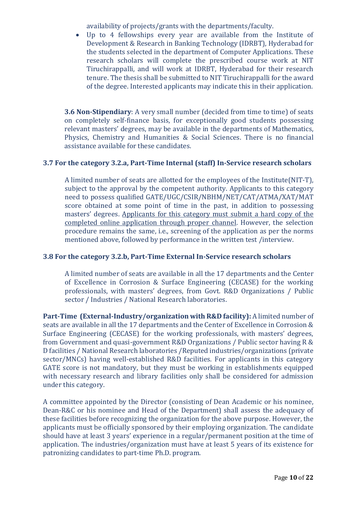availability of projects/grants with the departments/faculty.

Up to 4 fellowships every year are available from the Institute of Development & Research in Banking Technology (IDRBT), Hyderabad for the students selected in the department of Computer Applications. These research scholars will complete the prescribed course work at NIT Tiruchirappalli, and will work at IDRBT, Hyderabad for their research tenure. The thesis shall be submitted to NIT Tiruchirappalli for the award of the degree. Interested applicants may indicate this in their application.

**3.6 Non-Stipendiary:** A very small number (decided from time to time) of seats on completely self-finance basis, for exceptionally good students possessing relevant masters' degrees, may be available in the departments of Mathematics, Physics, Chemistry and Humanities & Social Sciences. There is no financial assistance available for these candidates.

#### **3.7 For the category 3.2.a, Part-Time Internal (staff) In-Service research scholars**

A limited number of seats are allotted for the employees of the Institute(NIT-T), subject to the approval by the competent authority. Applicants to this category need to possess qualified GATE/UGC/CSIR/NBHM/NET/CAT/ATMA/XAT/MAT score obtained at some point of time in the past, in addition to possessing masters' degrees. Applicants for this category must submit a hard copy of the completed online application through proper channel. However, the selection procedure remains the same, i.e., screening of the application as per the norms mentioned above, followed by performance in the written test /interview.

#### **3.8 For the category 3.2.b, Part-Time External In-Service research scholars**

A limited number of seats are available in all the 17 departments and the Center of Excellence in Corrosion & Surface Engineering (CECASE) for the working professionals, with masters' degrees, from Govt. R&D Organizations / Public sector / Industries / National Research laboratories.

**Part-Time (External-Industry/organization with R&D facility):** A limited number of seats are available in all the 17 departments and the Center of Excellence in Corrosion & Surface Engineering (CECASE) for the working professionals, with masters' degrees, from Government and quasi-government R&D Organizations / Public sector having R & D facilities / National Research laboratories /Reputed industries/organizations (private sector/MNCs) having well-established R&D facilities. For applicants in this category GATE score is not mandatory, but they must be working in establishments equipped with necessary research and library facilities only shall be considered for admission under this category.

A committee appointed by the Director (consisting of Dean Academic or his nominee, Dean-R&C or his nominee and Head of the Department) shall assess the adequacy of these facilities before recognizing the organization for the above purpose. However, the applicants must be officially sponsored by their employing organization. The candidate should have at least 3 years' experience in a regular/permanent position at the time of application. The industries/organization must have at least 5 years of its existence for patronizing candidates to part-time Ph.D. program.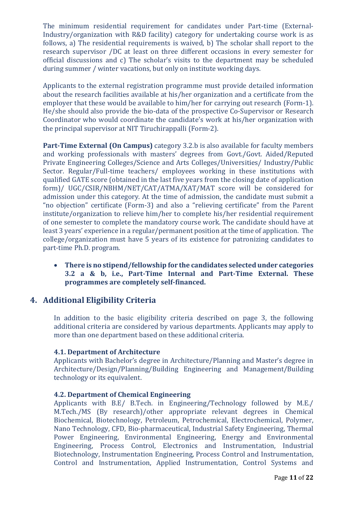The minimum residential requirement for candidates under Part-time (External-Industry/organization with R&D facility) category for undertaking course work is as follows, a) The residential requirements is waived, b) The scholar shall report to the research supervisor /DC at least on three different occasions in every semester for official discussions and c) The scholar's visits to the department may be scheduled during summer / winter vacations, but only on institute working days.

Applicants to the external registration programme must provide detailed information about the research facilities available at his/her organization and a certificate from the employer that these would be available to him/her for carrying out research (Form-1). He/she should also provide the bio-data of the prospective Co-Supervisor or Research Coordinator who would coordinate the candidate's work at his/her organization with the principal supervisor at NIT Tiruchirappalli (Form-2).

**Part-Time External (On Campus)** category 3.2.b is also available for faculty members and working professionals with masters' degrees from Govt./Govt. Aided/Reputed Private Engineering Colleges/Science and Arts Colleges/Universities/ Industry/Public Sector. Regular/Full-time teachers/ employees working in these institutions with qualified GATE score (obtained in the last five years from the closing date of application form)/ UGC/CSIR/NBHM/NET/CAT/ATMA/XAT/MAT score will be considered for admission under this category. At the time of admission, the candidate must submit a "no objection" certificate (Form-3) and also a "relieving certificate" from the Parent institute/organization to relieve him/her to complete his/her residential requirement of one semester to complete the mandatory course work. The candidate should have at least 3 years' experience in a regular/permanent position at the time of application. The college/organization must have 5 years of its existence for patronizing candidates to part-time Ph.D. program.

• **There is no stipend/fellowship for the candidates selected under categories 3.2 a & b, i.e., Part-Time Internal and Part-Time External. These programmes are completely self-financed.**

#### **4. Additional Eligibility Criteria**

In addition to the basic eligibility criteria described on page 3, the following additional criteria are considered by various departments. Applicants may apply to more than one department based on these additional criteria.

#### **4.1. Department of Architecture**

Applicants with Bachelor's degree in Architecture/Planning and Master's degree in Architecture/Design/Planning/Building Engineering and Management/Building technology or its equivalent.

#### **4.2. Department of Chemical Engineering**

Applicants with B.E/ B.Tech. in Engineering/Technology followed by M.E./ M.Tech./MS (By research)/other appropriate relevant degrees in Chemical Biochemical, Biotechnology, Petroleum, Petrochemical, Electrochemical, Polymer, Nano Technology, CFD, Bio-pharmaceutical, Industrial Safety Engineering, Thermal Power Engineering, Environmental Engineering, Energy and Environmental Engineering, Process Control, Electronics and Instrumentation, Industrial Biotechnology, Instrumentation Engineering, Process Control and Instrumentation, Control and Instrumentation, Applied Instrumentation, Control Systems and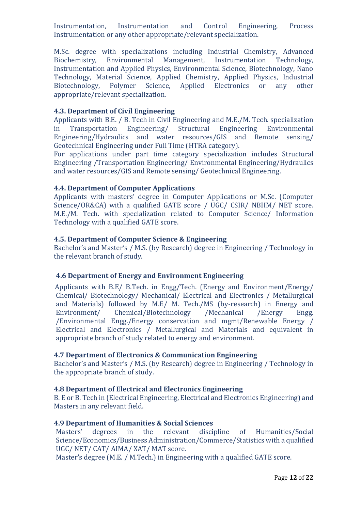Instrumentation, Instrumentation and Control Engineering, Process Instrumentation or any other appropriate/relevant specialization.

M.Sc. degree with specializations including Industrial Chemistry, Advanced Biochemistry, Environmental Management, Instrumentation Technology, Instrumentation and Applied Physics, Environmental Science, Biotechnology, Nano Technology, Material Science, Applied Chemistry, Applied Physics, Industrial Biotechnology, Polymer Science, Applied Electronics or any other appropriate/relevant specialization.

#### **4.3. Department of Civil Engineering**

Applicants with B.E. / B. Tech in Civil Engineering and M.E./M. Tech. specialization in Transportation Engineering/ Structural Engineering Environmental Engineering/Hydraulics and water resources/GIS and Remote sensing/ Geotechnical Engineering under Full Time (HTRA category).

For applications under part time category specialization includes Structural Engineering /Transportation Engineering/ Environmental Engineering/Hydraulics and water resources/GIS and Remote sensing/ Geotechnical Engineering.

#### **4.4. Department of Computer Applications**

Applicants with masters' degree in Computer Applications or M.Sc. (Computer Science/OR&CA) with a qualified GATE score / UGC/ CSIR/ NBHM/ NET score. M.E./M. Tech. with specialization related to Computer Science/ Information Technology with a qualified GATE score.

#### **4.5. Department of Computer Science & Engineering**

Bachelor's and Master's / M.S. (by Research) degree in Engineering / Technology in the relevant branch of study.

#### **4.6 Department of Energy and Environment Engineering**

Applicants with B.E/ B.Tech. in Engg/Tech. (Energy and Environment/Energy/ Chemical/ Biotechnology/ Mechanical/ Electrical and Electronics / Metallurgical and Materials) followed by M.E/ M. Tech./MS (by-research) in Energy and Environment/ Chemical/Biotechnology /Mechanical /Energy Engg. /Environmental Engg./Energy conservation and mgmt/Renewable Energy / Electrical and Electronics / Metallurgical and Materials and equivalent in appropriate branch of study related to energy and environment.

#### **4.7 Department of Electronics & Communication Engineering**

Bachelor's and Master's / M.S. (by Research) degree in Engineering / Technology in the appropriate branch of study.

#### **4.8 Department of Electrical and Electronics Engineering**

B. E or B. Tech in (Electrical Engineering, Electrical and Electronics Engineering) and Masters in any relevant field.

#### **4.9 Department of Humanities & Social Sciences**

Masters' degrees in the relevant discipline of Humanities/Social Science/Economics/Business Administration/Commerce/Statistics with a qualified UGC/ NET/ CAT/ AIMA/ XAT/ MAT score.

Master's degree (M.E. / M.Tech.) in Engineering with a qualified GATE score.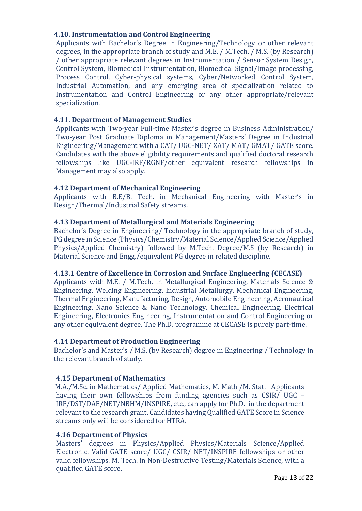#### **4.10. Instrumentation and Control Engineering**

Applicants with Bachelor's Degree in Engineering/Technology or other relevant degrees, in the appropriate branch of study and M.E. / M.Tech. / M.S. (by Research) / other appropriate relevant degrees in Instrumentation / Sensor System Design, Control System, Biomedical Instrumentation, Biomedical Signal/Image processing, Process Control, Cyber-physical systems, Cyber/Networked Control System, Industrial Automation, and any emerging area of specialization related to Instrumentation and Control Engineering or any other appropriate/relevant specialization.

#### **4.11. Department of Management Studies**

Applicants with Two-year Full-time Master's degree in Business Administration/ Two-year Post Graduate Diploma in Management/Masters' Degree in Industrial Engineering/Management with a CAT/ UGC-NET/ XAT/ MAT/ GMAT/ GATE score. Candidates with the above eligibility requirements and qualified doctoral research fellowships like UGC-JRF/RGNF/other equivalent research fellowships in Management may also apply.

#### **4.12 Department of Mechanical Engineering**

Applicants with B.E/B. Tech. in Mechanical Engineering with Master's in Design/Thermal/Industrial Safety streams.

#### **4.13 Department of Metallurgical and Materials Engineering**

Bachelor's Degree in Engineering/ Technology in the appropriate branch of study, PG degree in Science (Physics/Chemistry/Material Science/Applied Science/Applied Physics/Applied Chemistry) followed by M.Tech. Degree/M.S (by Research) in Material Science and Engg./equivalent PG degree in related discipline.

#### **4.13.1 Centre of Excellence in Corrosion and Surface Engineering (CECASE)**

Applicants with M.E. / M.Tech. in Metallurgical Engineering, Materials Science & Engineering, Welding Engineering, Industrial Metallurgy, Mechanical Engineering, Thermal Engineering, Manufacturing, Design, Automobile Engineering, Aeronautical Engineering, Nano Science & Nano Technology, Chemical Engineering, Electrical Engineering, Electronics Engineering, Instrumentation and Control Engineering or any other equivalent degree. The Ph.D. programme at CECASE is purely part-time.

#### **4.14 Department of Production Engineering**

Bachelor's and Master's / M.S. (by Research) degree in Engineering / Technology in the relevant branch of study.

#### **4.15 Department of Mathematics**

M.A./M.Sc. in Mathematics/ Applied Mathematics, M. Math /M. Stat. Applicants having their own fellowships from funding agencies such as CSIR/ UGC – JRF/DST/DAE/NET/NBHM/INSPIRE, etc., can apply for Ph.D. in the department relevant to the research grant. Candidates having Qualified GATE Score in Science streams only will be considered for HTRA.

#### **4.16 Department of Physics**

Masters' degrees in Physics/Applied Physics/Materials Science/Applied Electronic. Valid GATE score/ UGC/ CSIR/ NET/INSPIRE fellowships or other valid fellowships. M. Tech. in Non-Destructive Testing/Materials Science, with a qualified GATE score.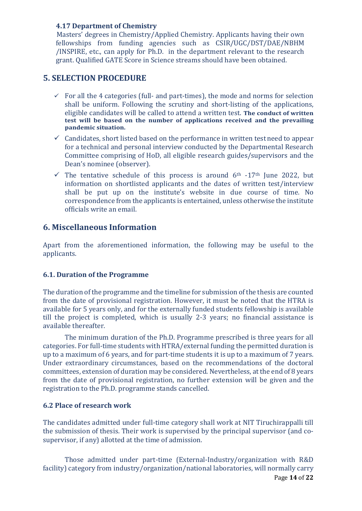#### **4.17 Department of Chemistry**

 Masters' degrees in Chemistry/Applied Chemistry. Applicants having their own fellowships from funding agencies such as CSIR/UGC/DST/DAE/NBHM /INSPIRE, etc., can apply for Ph.D. in the department relevant to the research grant. Qualified GATE Score in Science streams should have been obtained.

#### **5. SELECTION PROCEDURE**

- $\checkmark$  For all the 4 categories (full- and part-times), the mode and norms for selection shall be uniform. Following the scrutiny and short-listing of the applications, eligible candidates will be called to attend a written test. **The conduct of written test will be based on the number of applications received and the prevailing pandemic situation.**
- $\checkmark$  Candidates, short listed based on the performance in written test need to appear for a technical and personal interview conducted by the Departmental Research Committee comprising of HoD, all eligible research guides/supervisors and the Dean's nominee (observer).
- $\checkmark$  The tentative schedule of this process is around 6<sup>th</sup> -17<sup>th</sup> June 2022, but information on shortlisted applicants and the dates of written test/interview shall be put up on the institute's website in due course of time. No correspondence from the applicants is entertained, unless otherwise the institute officials write an email.

#### **6. Miscellaneous Information**

Apart from the aforementioned information, the following may be useful to the applicants.

#### **6.1. Duration of the Programme**

The duration of the programme and the timeline for submission of the thesis are counted from the date of provisional registration. However, it must be noted that the HTRA is available for 5 years only, and for the externally funded students fellowship is available till the project is completed, which is usually 2-3 years; no financial assistance is available thereafter.

The minimum duration of the Ph.D. Programme prescribed is three years for all categories. For full-time students with HTRA/external funding the permitted duration is up to a maximum of 6 years, and for part-time students it is up to a maximum of 7 years. Under extraordinary circumstances, based on the recommendations of the doctoral committees, extension of duration may be considered. Nevertheless, at the end of 8 years from the date of provisional registration, no further extension will be given and the registration to the Ph.D. programme stands cancelled.

#### **6.2 Place of research work**

The candidates admitted under full-time category shall work at NIT Tiruchirappalli till the submission of thesis. Their work is supervised by the principal supervisor (and cosupervisor, if any) allotted at the time of admission.

Page **14** of **22** Those admitted under part-time (External-Industry/organization with R&D facility) category from industry/organization/national laboratories, will normally carry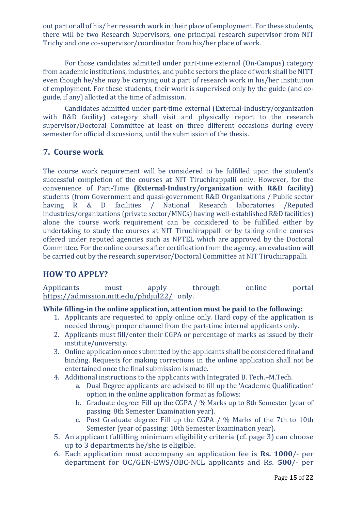out part or all of his/ her research work in their place of employment. For these students, there will be two Research Supervisors, one principal research supervisor from NIT Trichy and one co-supervisor/coordinator from his/her place of work.

For those candidates admitted under part-time external (On-Campus) category from academic institutions, industries, and public sectors the place of work shall be NITT even though he/she may be carrying out a part of research work in his/her institution of employment. For these students, their work is supervised only by the guide (and coguide, if any) allotted at the time of admission.

Candidates admitted under part-time external (External-Industry/organization with R&D facility) category shall visit and physically report to the research supervisor/Doctoral Committee at least on three different occasions during every semester for official discussions, until the submission of the thesis.

#### **7. Course work**

The course work requirement will be considered to be fulfilled upon the student's successful completion of the courses at NIT Tiruchirappalli only. However, for the convenience of Part-Time **(External-Industry/organization with R&D facility)** students (from Government and quasi-government R&D Organizations / Public sector having R & D facilities / National Research laboratories /Reputed industries/organizations (private sector/MNCs) having well-established R&D facilities) alone the course work requirement can be considered to be fulfilled either by undertaking to study the courses at NIT Tiruchirappalli or by taking online courses offered under reputed agencies such as NPTEL which are approved by the Doctoral Committee. For the online courses after certification from the agency, an evaluation will be carried out by the research supervisor/Doctoral Committee at NIT Tiruchirappalli.

#### **HOW TO APPLY?**

Applicants must apply through online portal <https://admission.nitt.edu/phdjul22/> only.

#### **While filling-in the online application, attention must be paid to the following:**

- 1. Applicants are requested to apply online only. Hard copy of the application is needed through proper channel from the part-time internal applicants only.
- 2. Applicants must fill/enter their CGPA or percentage of marks as issued by their institute/university.
- 3. Online application once submitted by the applicants shall be considered final and binding. Requests for making corrections in the online application shall not be entertained once the final submission is made.
- 4. Additional instructions to the applicants with Integrated B. Tech.–M.Tech.
	- a. Dual Degree applicants are advised to fill up the 'Academic Qualification' option in the online application format as follows:
	- b. Graduate degree: Fill up the CGPA / % Marks up to 8th Semester (year of passing: 8th Semester Examination year).
	- c. Post Graduate degree: Fill up the CGPA / % Marks of the 7th to 10th Semester (year of passing: 10th Semester Examination year).
- 5. An applicant fulfilling minimum eligibility criteria (cf. page 3) can choose up to 3 departments he/she is eligible.
- 6. Each application must accompany an application fee is **Rs. 1000**/- per department for OC/GEN-EWS/OBC-NCL applicants and Rs. **500**/- per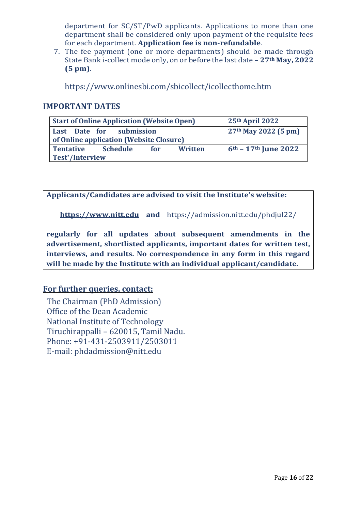department for SC/ST/PwD applicants. Applications to more than one department shall be considered only upon payment of the requisite fees for each department. **Application fee is non-refundable**.

7. The fee payment (one or more departments) should be made through State Bank i-collect mode only, on or before the last date – **27th May, 2022 (5 pm)**.

<https://www.onlinesbi.com/sbicollect/icollecthome.htm>

#### **IMPORTANT DATES**

| <b>Start of Online Application (Website Open)</b>                   | 25th April 2022        |
|---------------------------------------------------------------------|------------------------|
| Last Date for submission<br>of Online application (Website Closure) | $27th$ May 2022 (5 pm) |
| <b>Tentative</b><br><b>Schedule</b><br><b>Test*/Interview</b>       | $6th - 17th$ June 2022 |

**Applicants/Candidates are advised to visit the Institute's website:**

**[https://www.nitt.edu](https://www.nitt.edu/) and** <https://admission.nitt.edu/phdjul22/>

**regularly for all updates about subsequent amendments in the advertisement, shortlisted applicants, important dates for written test, interviews, and results. No correspondence in any form in this regard will be made by the Institute with an individual applicant/candidate.**

#### **For further queries, contact:**

 The Chairman (PhD Admission) Office of the Dean Academic National Institute of Technology Tiruchirappalli – 620015, Tamil Nadu. Phone: +91-431-2503911/2503011 E-mail: phdadmission@nitt.edu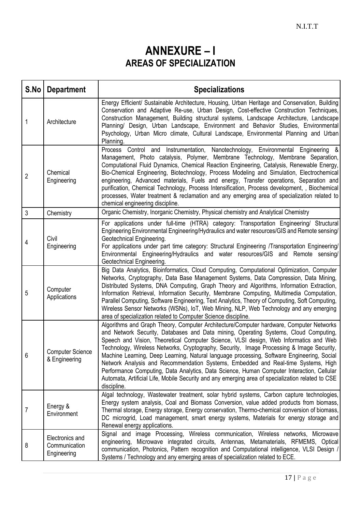## **ANNEXURE – I AREAS OF SPECIALIZATION**

| S.No           | <b>Department</b>                               | <b>Specializations</b>                                                                                                                                                                                                                                                                                                                                                                                                                                                                                                                                                                                                                                                                                                                                                    |
|----------------|-------------------------------------------------|---------------------------------------------------------------------------------------------------------------------------------------------------------------------------------------------------------------------------------------------------------------------------------------------------------------------------------------------------------------------------------------------------------------------------------------------------------------------------------------------------------------------------------------------------------------------------------------------------------------------------------------------------------------------------------------------------------------------------------------------------------------------------|
| 1              | Architecture                                    | Energy Efficient/ Sustainable Architecture, Housing, Urban Heritage and Conservation, Building<br>Conservation and Adaptive Re-use, Urban Design, Cost-effective Construction Techniques,<br>Construction Management, Building structural systems, Landscape Architecture, Landscape<br>Planning/ Design, Urban Landscape, Environment and Behavior Studies, Environmental<br>Psychology, Urban Micro climate, Cultural Landscape, Environmental Planning and Urban<br>Planning.                                                                                                                                                                                                                                                                                          |
| $\overline{2}$ | Chemical<br>Engineering                         | Process Control and Instrumentation, Nanotechnology, Environmental Engineering &<br>Management, Photo catalysis, Polymer, Membrane Technology, Membrane Separation,<br>Computational Fluid Dynamics, Chemical Reaction Engineering, Catalysis, Renewable Energy,<br>Bio-Chemical Engineering, Biotechnology, Process Modeling and Simulation, Electrochemical<br>engineering, Advanced materials, Fuels and energy, Transfer operations, Separation and<br>purification, Chemical Technology, Process Intensification, Process development, , Biochemical<br>processes, Water treatment & reclamation and any emerging area of specialization related to<br>chemical engineering discipline.                                                                              |
| 3              | Chemistry                                       | Organic Chemistry, Inorganic Chemistry, Physical chemistry and Analytical Chemistry                                                                                                                                                                                                                                                                                                                                                                                                                                                                                                                                                                                                                                                                                       |
| 4              | Civil<br>Engineering                            | For applications under full-time (HTRA) category: Transportation Engineering/ Structural<br>Engineering Environmental Engineering/Hydraulics and water resources/GIS and Remote sensing/<br>Geotechnical Engineering.<br>For applications under part time category: Structural Engineering /Transportation Engineering/<br>Environmental Engineering/Hydraulics and water resources/GIS and Remote sensing/<br>Geotechnical Engineering.                                                                                                                                                                                                                                                                                                                                  |
| 5              | Computer<br>Applications                        | Big Data Analytics, Bioinformatics, Cloud Computing, Computational Optimization, Computer<br>Networks, Cryptography, Data Base Management Systems, Data Compression, Data Mining,<br>Distributed Systems, DNA Computing, Graph Theory and Algorithms, Information Extraction,<br>Information Retrieval, Information Security, Membrane Computing, Multimedia Computation,<br>Parallel Computing, Software Engineering, Text Analytics, Theory of Computing, Soft Computing,<br>Wireless Sensor Networks (WSNs), IoT, Web Mining, NLP, Web Technology and any emerging<br>area of specialization related to Computer Science discipline.                                                                                                                                   |
| 6              | <b>Computer Science</b><br>& Engineering        | Algorithms and Graph Theory, Computer Architecture/Computer hardware, Computer Networks<br>and Network Security, Databases and Data mining, Operating Systems, Cloud Computing,<br>Speech and Vision, Theoretical Computer Science, VLSI design, Web Informatics and Web<br>Technology, Wireless Networks, Cryptography, Security, Image Processing & Image Security,<br>Machine Learning, Deep Learning, Natural language processing, Software Engineering, Social<br>Network Analysis and Recommendation Systems, Embedded and Real-time Systems, High<br>Performance Computing, Data Analytics, Data Science, Human Computer Interaction, Cellular<br>Automata, Artificial Life, Mobile Security and any emerging area of specialization related to CSE<br>discipline. |
| 7              | Energy &<br>Environment                         | Algal technology, Wastewater treatment, solar hybrid systems, Carbon capture technologies,<br>Energy system analysis, Coal and Biomass Conversion, value added products from biomass,<br>Thermal storage, Energy storage, Energy conservation, Thermo-chemical conversion of biomass,<br>DC microgrid, Load management, smart energy systems, Materials for energy storage and<br>Renewal energy applications.                                                                                                                                                                                                                                                                                                                                                            |
| 8              | Electronics and<br>Communication<br>Engineering | Signal and image Processing, Wireless communication, Wireless networks, Microwave<br>engineering, Microwave integrated circuits, Antennas, Metamaterials, RFMEMS, Optical<br>communication, Photonics, Pattern recognition and Computational intelligence, VLSI Design /<br>Systems / Technology and any emerging areas of specialization related to ECE.                                                                                                                                                                                                                                                                                                                                                                                                                 |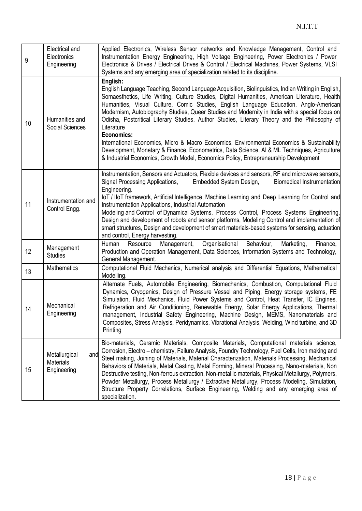| 9  | Electrical and<br>Electronics<br>Engineering            | Applied Electronics, Wireless Sensor networks and Knowledge Management, Control and<br>Instrumentation Energy Engineering, High Voltage Engineering, Power Electronics / Power<br>Electronics & Drives / Electrical Drives & Control / Electrical Machines, Power Systems, VLSI<br>Systems and any emerging area of specialization related to its discipline.                                                                                                                                                                                                                                                                                                                                                                                                                                                                |
|----|---------------------------------------------------------|------------------------------------------------------------------------------------------------------------------------------------------------------------------------------------------------------------------------------------------------------------------------------------------------------------------------------------------------------------------------------------------------------------------------------------------------------------------------------------------------------------------------------------------------------------------------------------------------------------------------------------------------------------------------------------------------------------------------------------------------------------------------------------------------------------------------------|
| 10 | Humanities and<br>Social Sciences                       | English:<br>English Language Teaching, Second Language Acquisition, Biolinguistics, Indian Writing in English,<br>Somaesthetics, Life Writing, Culture Studies, Digital Humanities, American Literature, Health<br>Humanities, Visual Culture, Comic Studies, English Language Education, Anglo-American<br>Modernism, Autobiography Studies, Queer Studies and Modernity in India with a special focus on<br>Odisha, Postcritical Literary Studies, Author Studies, Literary Theory and the Philosophy of<br>Literature<br>Economics:<br>International Economics, Micro & Macro Economics, Environmental Economics & Sustainability<br>Development, Monetary & Finance, Econometrics, Data Science, AI & ML Techniques, Agriculture<br>& Industrial Economics, Growth Model, Economics Policy, Entrepreneurship Development |
| 11 | Instrumentation and<br>Control Engg.                    | Instrumentation, Sensors and Actuators, Flexible devices and sensors, RF and microwave sensors,<br>Signal Processing Applications,<br>Embedded System Design,<br><b>Biomedical Instrumentation</b><br>Engineering.<br>loT / IloT framework, Artificial Intelligence, Machine Learning and Deep Learning for Control and<br>Instrumentation Applications, Industrial Automation<br>Modeling and Control of Dynamical Systems, Process Control, Process Systems Engineering,<br>Design and development of robots and sensor platforms, Modeling Control and implementation of<br>smart structures, Design and development of smart materials-based systems for sensing, actuation<br>and control, Energy harvesting.                                                                                                           |
| 12 | Management<br><b>Studies</b>                            | Organisational<br>Resource<br>Management,<br>Behaviour,<br>Marketing,<br>Human<br>Finance,<br>Production and Operation Management, Data Sciences, Information Systems and Technology,<br>General Management.                                                                                                                                                                                                                                                                                                                                                                                                                                                                                                                                                                                                                 |
| 13 | <b>Mathematics</b>                                      | Computational Fluid Mechanics, Numerical analysis and Differential Equations, Mathematical<br>Modelling.                                                                                                                                                                                                                                                                                                                                                                                                                                                                                                                                                                                                                                                                                                                     |
| 14 | Mechanical<br>Engineering                               | Alternate Fuels, Automobile Engineering, Biomechanics, Combustion, Computational Fluid<br>Dynamics, Cryogenics, Design of Pressure Vessel and Piping, Energy storage systems, FE<br>Simulation, Fluid Mechanics, Fluid Power Systems and Control, Heat Transfer, IC Engines,<br>Refrigeration and Air Conditioning, Renewable Energy, Solar Energy Applications, Thermal<br>management, Industrial Safety Engineering, Machine Design, MEMS, Nanomaterials and<br>Composites, Stress Analysis, Peridynamics, Vibrational Analysis, Welding, Wind turbine, and 3D<br>Printing                                                                                                                                                                                                                                                 |
| 15 | Metallurgical<br>and<br><b>Materials</b><br>Engineering | Bio-materials, Ceramic Materials, Composite Materials, Computational materials science,<br>Corrosion, Electro – chemistry, Failure Analysis, Foundry Technology, Fuel Cells, Iron making and<br>Steel making, Joining of Materials, Material Characterization, Materials Processing, Mechanical<br>Behaviors of Materials, Metal Casting, Metal Forming, Mineral Processing, Nano-materials, Non<br>Destructive testing, Non-ferrous extraction, Non-metallic materials, Physical Metallurgy, Polymers,<br>Powder Metallurgy, Process Metallurgy / Extractive Metallurgy, Process Modeling, Simulation,<br>Structure Property Correlations, Surface Engineering, Welding and any emerging area of<br>specialization.                                                                                                         |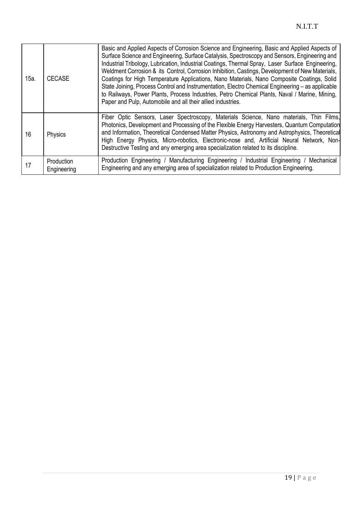| 15a. | <b>CECASE</b>                    | Basic and Applied Aspects of Corrosion Science and Engineering, Basic and Applied Aspects of<br>Surface Science and Engineering, Surface Catalysis, Spectroscopy and Sensors, Engineering and<br>Industrial Tribology, Lubrication, Industrial Coatings, Thermal Spray, Laser Surface Engineering,<br>Weldment Corrosion & its Control, Corrosion Inhibition, Castings, Development of New Materials,<br>Coatings for High Temperature Applications, Nano Materials, Nano Composite Coatings, Solid<br>State Joining, Process Control and Instrumentation, Electro Chemical Engineering - as applicable<br>to Railways, Power Plants, Process Industries, Petro Chemical Plants, Naval / Marine, Mining,<br>Paper and Pulp, Automobile and all their allied industries. |
|------|----------------------------------|-------------------------------------------------------------------------------------------------------------------------------------------------------------------------------------------------------------------------------------------------------------------------------------------------------------------------------------------------------------------------------------------------------------------------------------------------------------------------------------------------------------------------------------------------------------------------------------------------------------------------------------------------------------------------------------------------------------------------------------------------------------------------|
| 16   | Physics                          | Fiber Optic Sensors, Laser Spectroscopy, Materials Science, Nano materials, Thin Films,<br>Photonics, Development and Processing of the Flexible Energy Harvesters, Quantum Computation<br>and Information, Theoretical Condensed Matter Physics, Astronomy and Astrophysics, Theoretical<br>High Energy Physics, Micro-robotics, Electronic-nose and, Artificial Neural Network, Non-<br>Destructive Testing and any emerging area specialization related to its discipline.                                                                                                                                                                                                                                                                                           |
| 17   | <b>Production</b><br>Engineering | Production Engineering / Manufacturing Engineering / Industrial Engineering / Mechanical<br>Engineering and any emerging area of specialization related to Production Engineering.                                                                                                                                                                                                                                                                                                                                                                                                                                                                                                                                                                                      |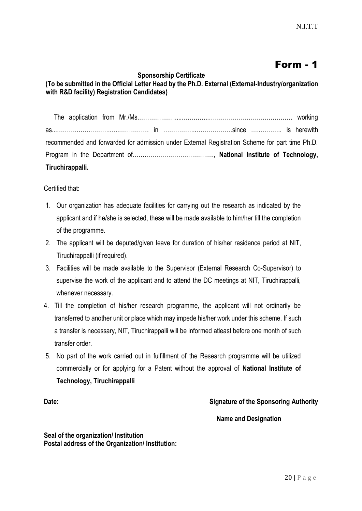## Form - 1

#### **Sponsorship Certificate**

#### **(To be submitted in the Official Letter Head by the Ph.D. External (External-Industry/organization with R&D facility) Registration Candidates)**

 The application from Mr./Ms.………………....…………..…………………………………… working as...……….…….……….…..…………… in ……………..………………since …..……….. is herewith recommended and forwarded for admission under External Registration Scheme for part time Ph.D. Program in the Department of…….……………………………., **National Institute of Technology, Tiruchirappalli.**

Certified that:

- 1. Our organization has adequate facilities for carrying out the research as indicated by the applicant and if he/she is selected, these will be made available to him/her till the completion of the programme.
- 2. The applicant will be deputed/given leave for duration of his/her residence period at NIT, Tiruchirappalli (if required).
- 3. Facilities will be made available to the Supervisor (External Research Co-Supervisor) to supervise the work of the applicant and to attend the DC meetings at NIT, Tiruchirappalli, whenever necessary.
- 4. Till the completion of his/her research programme, the applicant will not ordinarily be transferred to another unit or place which may impede his/her work under this scheme. If such a transfer is necessary, NIT, Tiruchirappalli will be informed atleast before one month of such transfer order.
- 5. No part of the work carried out in fulfillment of the Research programme will be utilized commercially or for applying for a Patent without the approval of **National Institute of Technology, Tiruchirappalli**

#### **Date: Signature of the Sponsoring Authority**

**Name and Designation**

**Seal of the organization/ Institution Postal address of the Organization/ Institution:**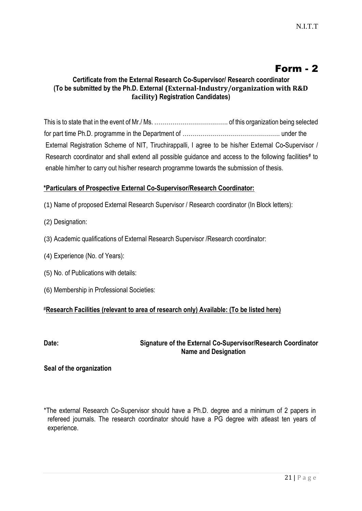### Form - 2

#### **Certificate from the External Research Co-Supervisor/ Research coordinator (To be submitted by the Ph.D. External (External-Industry/organization with R&D facility) Registration Candidates)**

This is to state that in the event of Mr./ Ms. ………………………………. of this organization being selected for part time Ph.D. programme in the Department of …………………………………………. under the External Registration Scheme of NIT, Tiruchirappalli, I agree to be his/her External Co**-**Supervisor / Research coordinator and shall extend all possible guidance and access to the following facilities# to enable him/her to carry out his/her research programme towards the submission of thesis.

#### **\*Particulars of Prospective External Co-Supervisor/Research Coordinator:**

- (1) Name of proposed External Research Supervisor / Research coordinator (In Block letters):
- (2) Designation:
- (3) Academic qualifications of External Research Supervisor /Research coordinator:
- (4) Experience (No. of Years):
- (5) No. of Publications with details:
- (6) Membership in Professional Societies:

#### #**Research Facilities (relevant to area of research only) Available: (To be listed here)**

#### **Date: Signature of the External Co-Supervisor/Research Coordinator Name and Designation**

#### **Seal of the organization**

\*The external Research Co-Supervisor should have a Ph.D. degree and a minimum of 2 papers in refereed journals. The research coordinator should have a PG degree with atleast ten years of experience.